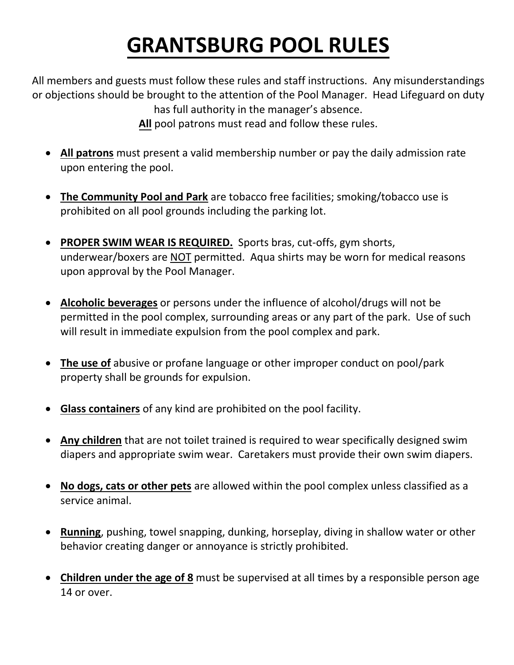## **GRANTSBURG POOL RULES**

All members and guests must follow these rules and staff instructions. Any misunderstandings or objections should be brought to the attention of the Pool Manager. Head Lifeguard on duty has full authority in the manager's absence.

**All** pool patrons must read and follow these rules.

- **All patrons** must present a valid membership number or pay the daily admission rate upon entering the pool.
- **The Community Pool and Park** are tobacco free facilities; smoking/tobacco use is prohibited on all pool grounds including the parking lot.
- **PROPER SWIM WEAR IS REQUIRED.** Sports bras, cut-offs, gym shorts, underwear/boxers are NOT permitted. Aqua shirts may be worn for medical reasons upon approval by the Pool Manager.
- **Alcoholic beverages** or persons under the influence of alcohol/drugs will not be permitted in the pool complex, surrounding areas or any part of the park. Use of such will result in immediate expulsion from the pool complex and park.
- **The use of** abusive or profane language or other improper conduct on pool/park property shall be grounds for expulsion.
- **Glass containers** of any kind are prohibited on the pool facility.
- **Any children** that are not toilet trained is required to wear specifically designed swim diapers and appropriate swim wear. Caretakers must provide their own swim diapers.
- **No dogs, cats or other pets** are allowed within the pool complex unless classified as a service animal.
- **Running**, pushing, towel snapping, dunking, horseplay, diving in shallow water or other behavior creating danger or annoyance is strictly prohibited.
- **Children under the age of 8** must be supervised at all times by a responsible person age 14 or over.